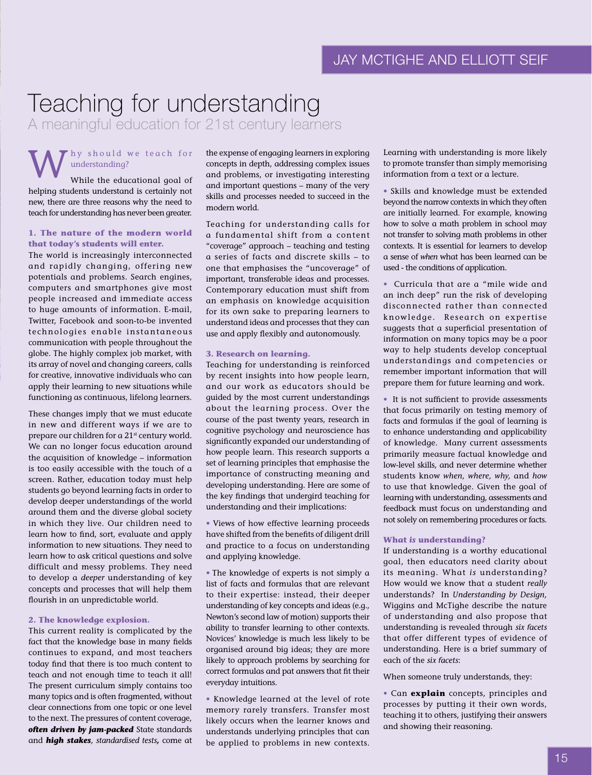# Teaching for understanding

A meaningful education for 21st century learners

# hy should we teach for understanding?

While the educational goal of helping students understand is certainly not new, there are three reasons why the need to teach for understanding has never been greater.

### **1. The nature of the modern world that today's students will enter.**

The world is increasingly interconnected and rapidly changing, offering new potentials and problems. Search engines, computers and smartphones give most people increased and immediate access to huge amounts of information. E-mail, Twitter, Facebook and soon-to-be invented technologies enable instantaneous communication with people throughout the globe. The highly complex job market, with its array of novel and changing careers, calls for creative, innovative individuals who can apply their learning to new situations while functioning as continuous, lifelong learners.

These changes imply that we must educate in new and different ways if we are to prepare our children for a 21<sup>st</sup> century world. We can no longer focus education around the acquisition of knowledge – information is too easily accessible with the touch of a screen. Rather, education today must help students go beyond learning facts in order to develop deeper understandings of the world around them and the diverse global society in which they live. Our children need to learn how to find, sort, evaluate and apply information to new situations. They need to learn how to ask critical questions and solve difficult and messy problems. They need to develop a *deeper* understanding of key concepts and processes that will help them flourish in an unpredictable world.

#### **2. The knowledge explosion.**

This current reality is complicated by the fact that the knowledge base in many fields continues to expand, and most teachers today find that there is too much content to teach and not enough time to teach it all! The present curriculum simply contains too many topics and is often fragmented, without clear connections from one topic or one level to the next. The pressures of content coverage, *often driven by jam-packed* State standards and *high stakes, standardised tests,* come at

the expense of engaging learners in exploring concepts in depth, addressing complex issues and problems, or investigating interesting and important questions – many of the very skills and processes needed to succeed in the modern world.

Teaching for understanding calls for a fundamental shift from a content "coverage" approach – teaching and testing a series of facts and discrete skills – to one that emphasises the "uncoverage" of important, transferable ideas and processes. Contemporary education must shift from an emphasis on knowledge acquisition for its own sake to preparing learners to understand ideas and processes that they can use and apply flexibly and autonomously.

#### **3. Research on learning.**

Teaching for understanding is reinforced by recent insights into how people learn, and our work as educators should be guided by the most current understandings about the learning process. Over the course of the past twenty years, research in cognitive psychology and neuroscience has significantly expanded our understanding of how people learn. This research supports a set of learning principles that emphasise the importance of constructing meaning and developing understanding. Here are some of the key findings that undergird teaching for understanding and their implications:

• Views of how effective learning proceeds have shifted from the benefits of diligent drill and practice to a focus on understanding and applying knowledge.

• The knowledge of experts is not simply a list of facts and formulas that are relevant to their expertise: instead, their deeper understanding of key concepts and ideas (e.g., Newton's second law of motion) supports their ability to transfer learning to other contexts. Novices' knowledge is much less likely to be organised around big ideas; they are more likely to approach problems by searching for correct formulas and pat answers that fit their everyday intuitions.

• Knowledge learned at the level of rote memory rarely transfers. Transfer most likely occurs when the learner knows and understands underlying principles that can be applied to problems in new contexts.

Learning with understanding is more likely to promote transfer than simply memorising information from a text or a lecture.

• Skills and knowledge must be extended beyond the narrow contexts in which they often are initially learned. For example, knowing how to solve a math problem in school may not transfer to solving math problems in other contexts. It is essential for learners to develop a sense of *when* what has been learned can be used - the conditions of application.

• Curricula that are a "mile wide and an inch deep" run the risk of developing disconnected rather than connected knowledge. Research on expertise suggests that a superficial presentation of information on many topics may be a poor way to help students develop conceptual understandings and competencies or remember important information that will prepare them for future learning and work.

• It is not sufficient to provide assessments that focus primarily on testing memory of facts and formulas if the goal of learning is to enhance understanding and applicability of knowledge. Many current assessments primarily measure factual knowledge and low-level skills, and never determine whether students know *when, where, why,* and *how* to use that knowledge. Given the goal of learning with understanding, assessments and feedback must focus on understanding and not solely on remembering procedures or facts.

#### **What** *is* **understanding?**

If understanding is a worthy educational goal, then educators need clarity about its meaning. What *is* understanding? How would we know that a student *really* understands? In *Understanding by Design,* Wiggins and McTighe describe the nature of understanding and also propose that understanding is revealed through *six facets* that offer different types of evidence of understanding. Here is a brief summary of each of the *six facets*:

When someone truly understands, they:

• Can **explain** concepts, principles and processes by putting it their own words, teaching it to others, justifying their answers and showing their reasoning.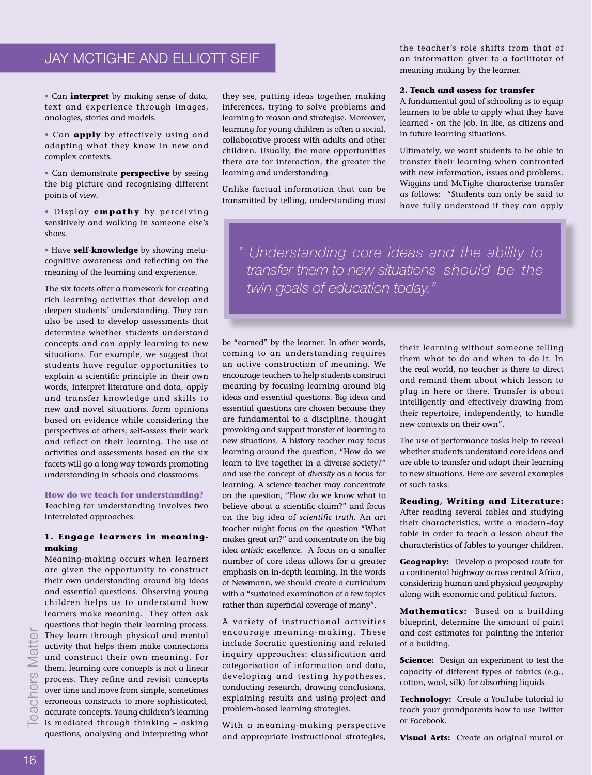# JAY MCTIGHE AND ELLIOTT SEIF

• Can **interpret** by making sense of data, text and experience through images, analogies, stories and models.

• Can **apply** by effectively using and adapting what they know in new and complex contexts.

• Can demonstrate **perspective** by seeing the big picture and recognising different points of view.

• Display **empathy** by perceiving sensitively and walking in someone else's shoes.

• Have **self-knowledge** by showing metacognitive awareness and reflecting on the meaning of the learning and experience.

The six facets offer a framework for creating rich learning activities that develop and deepen students' understanding. They can also be used to develop assessments that determine whether students understand concepts and can apply learning to new situations. For example, we suggest that students have regular opportunities to explain a scientific principle in their own words, interpret literature and data, apply and transfer knowledge and skills to new and novel situations, form opinions based on evidence while considering the perspectives of others, self-assess their work and reflect on their learning. The use of activities and assessments based on the six facets will go a long way towards promoting understanding in schools and classrooms.

#### **How do we teach for understanding?**

Teaching for understanding involves two interrelated approaches:

## **1. Engage learners in meaningmaking**

Meaning-making occurs when learners are given the opportunity to construct their own understanding around big ideas and essential questions. Observing young children helps us to understand how learners make meaning. They often ask questions that begin their learning process. They learn through physical and mental activity that helps them make connections and construct their own meaning. For them, learning core concepts is not a linear process. They refine and revisit concepts over time and move from simple, sometimes erroneous constructs to more sophisticated, accurate concepts. Young children's learning is mediated through thinking – asking questions, analysing and interpreting what

they see, putting ideas together, making inferences, trying to solve problems and learning to reason and strategise. Moreover, learning for young children is often a social, collaborative process with adults and other children. Usually, the more opportunities there are for interaction, the greater the learning and understanding.

Unlike factual information that can be transmitted by telling, understanding must the teacher's role shifts from that of an information giver to a facilitator of meaning making by the learner.

#### **2. Teach and assess for transfer**

A fundamental goal of schooling is to equip learners to be able to apply what they have learned - on the job, in life, as citizens and in future learning situations.

Ultimately, we want students to be able to transfer their learning when confronted with new information, issues and problems. Wiggins and McTighe characterise transfer as follows: "Students can only be said to have fully understood if they can apply

*" Understanding core ideas and the ability to transfer them to new situations should be the twin goals of education today."* 

be "earned" by the learner. In other words, coming to an understanding requires an active construction of meaning. We encourage teachers to help students construct meaning by focusing learning around big ideas and essential questions. Big ideas and essential questions are chosen because they are fundamental to a discipline, thought provoking and support transfer of learning to new situations. A history teacher may focus learning around the question, "How do we learn to live together in a diverse society?" and use the concept of *diversity* as a focus for learning. A science teacher may concentrate on the question, "How do we know what to believe about a scientific claim?" and focus on the big idea of *scientific truth.* An art teacher might focus on the question "What makes great art?" and concentrate on the big idea *artistic excellence.* A focus on a smaller number of core ideas allows for a greater emphasis on in-depth learning. In the words of Newmann, we should create a curriculum with a "sustained examination of a few topics rather than superficial coverage of many".

A variety of instructional activities encourage meaning-making. These include Socratic questioning and related inquiry approaches: classification and categorisation of information and data, developing and testing hypotheses, conducting research, drawing conclusions, explaining results and using project and problem-based learning strategies.

With a meaning-making perspective and appropriate instructional strategies, their learning without someone telling them what to do and when to do it. In the real world, no teacher is there to direct and remind them about which lesson to plug in here or there. Transfer is about intelligently and effectively drawing from their repertoire, independently, to handle new contexts on their own".

The use of performance tasks help to reveal whether students understand core ideas and are able to transfer and adapt their learning to new situations. Here are several examples of such tasks:

**Reading, Writing and Literature:**  After reading several fables and studying their characteristics, write a modern-day fable in order to teach a lesson about the characteristics of fables to younger children.

**Geography:** Develop a proposed route for a continental highway across central Africa, considering human and physical geography along with economic and political factors.

**Mathematics:** Based on a building blueprint, determine the amount of paint and cost estimates for painting the interior of a building.

**Science:** Design an experiment to test the capacity of different types of fabrics (e.g., cotton, wool, silk) for absorbing liquids.

**Technology:** Create a YouTube tutorial to teach your grandparents how to use Twitter or Facebook.

**Visual Arts:** Create an original mural or